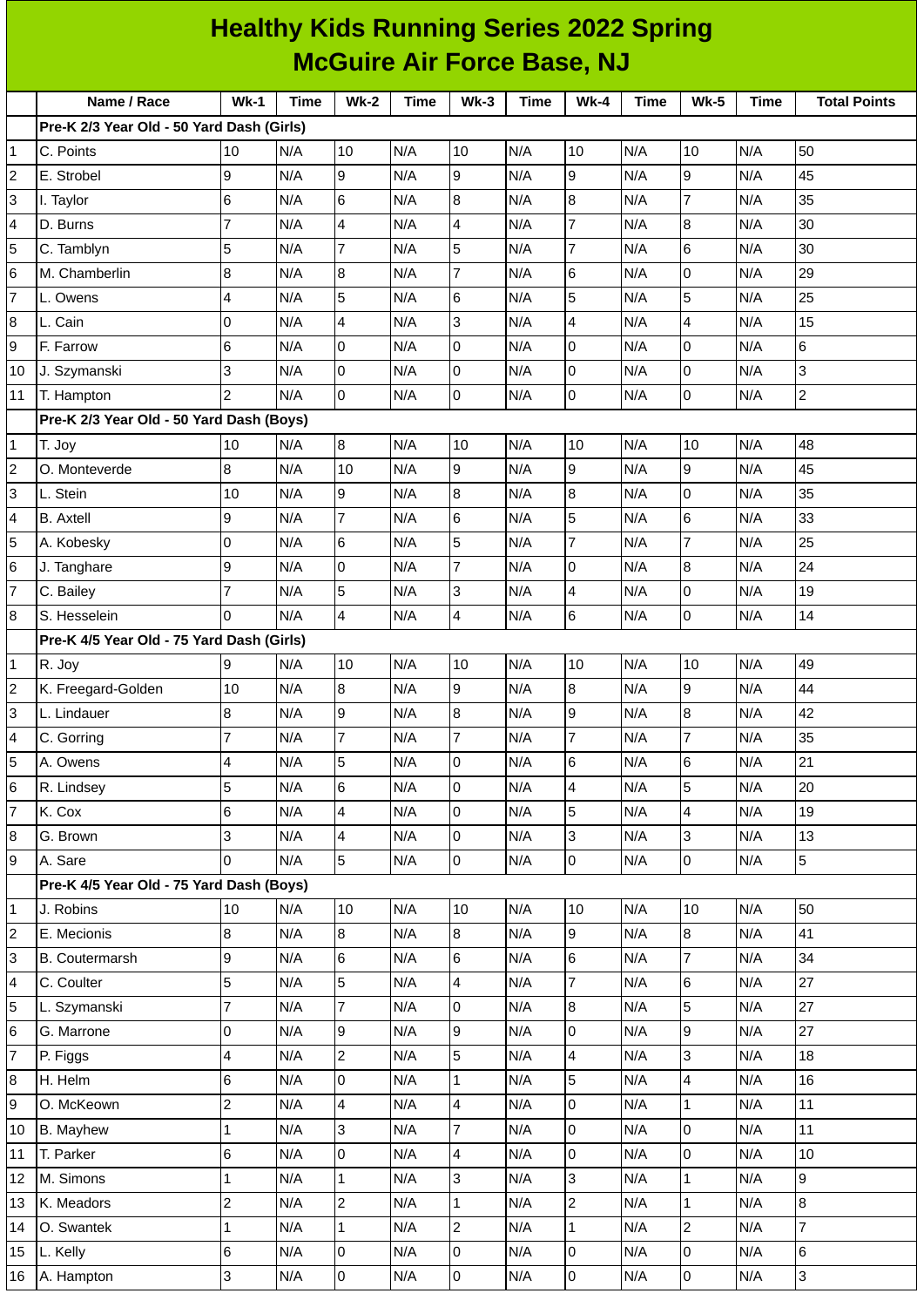| <b>McGuire Air Force Base, NJ</b><br>Name / Race<br>$Wk-1$<br><b>Wk-2</b><br>$Wk-4$<br><b>Wk-5</b><br><b>Time</b><br>$Wk-3$<br><b>Time</b><br><b>Time</b><br>Time<br>Pre-K 2/3 Year Old - 50 Yard Dash (Girls)<br>10<br>$\mathbf 1$<br>10<br>N/A<br>10<br>N/A<br>10<br>N/A<br>10<br>N/A<br>C. Points<br>N/A<br>$\overline{c}$<br>9<br>9<br>9<br>9<br>N/A<br>N/A<br>N/A<br>N/A<br>9<br>N/A<br>E. Strobel<br>3<br>6<br>$\overline{7}$<br>N/A<br>6<br>8<br>8<br>N/A<br>N/A<br>N/A<br>N/A<br>I. Taylor | <b>Total Points</b><br><b>Time</b><br>50<br>45<br>35<br>30<br>30<br>29<br>25<br>15<br>6 |
|----------------------------------------------------------------------------------------------------------------------------------------------------------------------------------------------------------------------------------------------------------------------------------------------------------------------------------------------------------------------------------------------------------------------------------------------------------------------------------------------------|-----------------------------------------------------------------------------------------|
|                                                                                                                                                                                                                                                                                                                                                                                                                                                                                                    |                                                                                         |
|                                                                                                                                                                                                                                                                                                                                                                                                                                                                                                    |                                                                                         |
|                                                                                                                                                                                                                                                                                                                                                                                                                                                                                                    |                                                                                         |
|                                                                                                                                                                                                                                                                                                                                                                                                                                                                                                    |                                                                                         |
|                                                                                                                                                                                                                                                                                                                                                                                                                                                                                                    |                                                                                         |
|                                                                                                                                                                                                                                                                                                                                                                                                                                                                                                    |                                                                                         |
| $\overline{7}$<br>$\overline{7}$<br>4<br>$\, 8$<br>4<br>4<br>D. Burns<br>N/A<br>N/A<br>N/A<br>N/A<br>N/A                                                                                                                                                                                                                                                                                                                                                                                           |                                                                                         |
| 5<br>5<br>5<br>7<br>6<br>$\overline{7}$<br>C. Tamblyn<br>N/A<br>N/A<br>N/A<br>N/A<br>N/A                                                                                                                                                                                                                                                                                                                                                                                                           |                                                                                         |
| $\overline{7}$<br>$6\phantom{.}6$<br>8<br>0<br>N/A<br>8<br>6<br>N/A<br>M. Chamberlin<br>N/A<br>N/A<br>N/A                                                                                                                                                                                                                                                                                                                                                                                          |                                                                                         |
| 5<br>5<br>5<br>$\overline{7}$<br>4<br>6<br>N/A<br>N/A<br>N/A<br>N/A<br>N/A<br>L. Owens                                                                                                                                                                                                                                                                                                                                                                                                             |                                                                                         |
| 0<br>3<br>$\boldsymbol{8}$<br>4<br>4<br>L. Cain<br>N/A<br>N/A<br>N/A<br>$\overline{4}$<br>N/A<br>N/A                                                                                                                                                                                                                                                                                                                                                                                               |                                                                                         |
| 9<br>6<br>0<br>0<br>l0<br>$\overline{0}$<br>N/A<br>N/A<br>N/A<br>N/A<br>F. Farrow<br>N/A                                                                                                                                                                                                                                                                                                                                                                                                           |                                                                                         |
| 3<br>0<br>0<br>$\overline{0}$<br>0<br>10<br>J. Szymanski<br>N/A<br>N/A<br>N/A<br>N/A<br>N/A                                                                                                                                                                                                                                                                                                                                                                                                        | 3                                                                                       |
| $\overline{c}$<br>$\overline{0}$<br>0<br>$\overline{0}$<br>$\overline{0}$<br>N/A<br>N/A<br>N/A<br>N/A<br>N/A<br>11<br>T. Hampton                                                                                                                                                                                                                                                                                                                                                                   | $\mathbf 2$                                                                             |
| Pre-K 2/3 Year Old - 50 Yard Dash (Boys)                                                                                                                                                                                                                                                                                                                                                                                                                                                           |                                                                                         |
| $\boldsymbol{8}$<br>N/A<br>N/A<br>$\mathbf 1$<br>T. Joy<br>10<br>N/A<br>10<br>10<br>N/A<br>10<br>N/A                                                                                                                                                                                                                                                                                                                                                                                               | 48                                                                                      |
| 8<br>9<br>9<br>$\overline{c}$<br>10<br>9<br>N/A<br>N/A<br>N/A<br>O. Monteverde<br>N/A<br>N/A                                                                                                                                                                                                                                                                                                                                                                                                       | 45                                                                                      |
| 3<br>9<br>8<br>N/A<br>N/A<br>8<br>0<br>N/A<br>L. Stein<br>10<br>N/A<br>N/A                                                                                                                                                                                                                                                                                                                                                                                                                         | 35                                                                                      |
| $\overline{\mathbf{4}}$<br>9<br>6<br>5<br>7<br>$\,6$<br><b>B.</b> Axtell<br>N/A<br>N/A<br>N/A<br>N/A<br>N/A                                                                                                                                                                                                                                                                                                                                                                                        | 33                                                                                      |
| 5<br>$\overline{7}$<br>5<br>$\overline{7}$<br>0<br>$6\phantom{.}6$<br>N/A<br>N/A<br>N/A<br>N/A<br>N/A<br>A. Kobesky                                                                                                                                                                                                                                                                                                                                                                                | 25                                                                                      |
| $\overline{7}$<br>$6\phantom{.}6$<br>9<br>0<br>N/A<br>N/A<br>0<br>$\, 8$<br>N/A<br>J. Tanghare<br>N/A<br>N/A                                                                                                                                                                                                                                                                                                                                                                                       | 24                                                                                      |
| $\overline{7}$<br>5<br>$\overline{7}$<br>3<br>$\overline{4}$<br>0<br>N/A<br>N/A<br>N/A<br>N/A<br>C. Bailey<br>N/A                                                                                                                                                                                                                                                                                                                                                                                  | 19                                                                                      |
| 0<br>4<br>$6\phantom{.}6$<br>$\boldsymbol{8}$<br>4<br>0<br>S. Hesselein<br>N/A<br>N/A<br>N/A<br>N/A<br>N/A                                                                                                                                                                                                                                                                                                                                                                                         | 14                                                                                      |
| Pre-K 4/5 Year Old - 75 Yard Dash (Girls)                                                                                                                                                                                                                                                                                                                                                                                                                                                          |                                                                                         |
| 9<br>$\mathbf{1}$<br>N/A<br>10<br>N/A<br>10<br>N/A<br>10<br>N/A<br>10<br>N/A<br>R. Joy                                                                                                                                                                                                                                                                                                                                                                                                             | 49                                                                                      |
| $\overline{c}$<br>$\bf{8}$<br>$\boldsymbol{9}$<br>$\overline{8}$<br>10<br>$\boldsymbol{9}$<br>K. Freegard-Golden<br>N/A<br>N/A<br>N/A<br>N/A<br>N/A                                                                                                                                                                                                                                                                                                                                                | 44                                                                                      |
| $\overline{3}$<br>8<br>9<br>8<br>N/A<br>9<br>8<br>L. Lindauer<br>N/A<br>N/A<br>N/A<br>N/A                                                                                                                                                                                                                                                                                                                                                                                                          | 42                                                                                      |
| $\overline{7}$<br>$\overline{7}$<br>$\overline{7}$<br>$\overline{7}$<br>$\overline{\mathbf{4}}$<br>$\overline{7}$<br>N/A<br>N/A<br>N/A<br>N/A<br>C. Gorring<br>N/A                                                                                                                                                                                                                                                                                                                                 | 35                                                                                      |
| 5<br>4<br>5<br>0<br>6<br>$\,6\,$<br>A. Owens<br>N/A<br>N/A<br>N/A<br>N/A<br>N/A                                                                                                                                                                                                                                                                                                                                                                                                                    | 21                                                                                      |
| 5<br>$6\overline{6}$<br>5<br>6<br>0<br>$\overline{4}$<br>N/A<br>N/A<br>R. Lindsey<br>N/A<br>N/A<br>N/A                                                                                                                                                                                                                                                                                                                                                                                             | 20                                                                                      |
| $\overline{7}$<br>6<br>5<br>4<br>0<br>4<br>K. Cox<br>N/A<br>N/A<br>N/A<br>N/A<br>N/A                                                                                                                                                                                                                                                                                                                                                                                                               | 19                                                                                      |
| 3<br>$\bf{8}$<br>0<br>3<br>3<br>N/A<br>G. Brown<br>N/A<br>4<br>N/A<br>N/A<br>N/A                                                                                                                                                                                                                                                                                                                                                                                                                   | 13                                                                                      |
| $\overline{9}$<br>0<br>0<br>$\overline{5}$<br>O<br>$\overline{0}$<br>N/A<br>A. Sare<br>N/A<br>N/A<br>N/A<br>N/A                                                                                                                                                                                                                                                                                                                                                                                    | 5                                                                                       |
| Pre-K 4/5 Year Old - 75 Yard Dash (Boys)                                                                                                                                                                                                                                                                                                                                                                                                                                                           |                                                                                         |
| 10<br>$\vert$ 1<br>J. Robins<br>10<br>N/A<br>N/A<br>10<br>N/A<br>10<br>N/A<br>10<br>N/A                                                                                                                                                                                                                                                                                                                                                                                                            | 50                                                                                      |
| $\overline{c}$<br>$\bf{8}$<br>$\overline{8}$<br>9<br>$\overline{8}$<br>$8\,$<br>E. Mecionis<br>N/A<br>N/A<br>N/A<br>N/A<br>N/A                                                                                                                                                                                                                                                                                                                                                                     | 41                                                                                      |
| $\overline{3}$<br>9<br>$\overline{7}$<br>6<br>6<br>6<br>N/A<br>N/A<br>N/A<br>B. Coutermarsh<br>N/A<br>N/A                                                                                                                                                                                                                                                                                                                                                                                          | 34                                                                                      |
| 5<br>5<br>$\overline{\mathbf{4}}$<br>7<br>$\,6$<br>$\overline{\mathbf{4}}$<br>C. Coulter<br>N/A<br>N/A<br>N/A<br>N/A<br>N/A                                                                                                                                                                                                                                                                                                                                                                        | 27                                                                                      |
| $\overline{5}$<br>$\overline{7}$<br>5<br>$\overline{7}$<br>0<br>8<br>L. Szymanski<br>N/A<br>N/A<br>N/A<br>N/A<br>N/A                                                                                                                                                                                                                                                                                                                                                                               | 27                                                                                      |
| $6\overline{6}$<br>0<br>9<br>$\mathsf 0$<br>9<br>$\overline{9}$<br>G. Marrone<br>N/A<br>N/A<br>N/A<br>N/A<br>N/A                                                                                                                                                                                                                                                                                                                                                                                   | 27                                                                                      |
| $\overline{5}$<br>$\overline{7}$<br>4<br>3<br>$\overline{c}$<br>$\overline{4}$<br>N/A<br>N/A<br>N/A<br>N/A<br>N/A<br>P. Figgs                                                                                                                                                                                                                                                                                                                                                                      | 18                                                                                      |
| 6<br>$\bf{8}$<br>0<br>5<br>4<br>$\mathbf{1}$<br>H. Helm<br>N/A<br>N/A<br>N/A<br>N/A<br>N/A                                                                                                                                                                                                                                                                                                                                                                                                         | 16                                                                                      |
| $\overline{c}$<br>9<br>4<br>0<br>$\mathbf{1}$<br>N/A<br>4<br>N/A<br>N/A<br>N/A<br>O. McKeown<br>N/A                                                                                                                                                                                                                                                                                                                                                                                                | 11                                                                                      |
| $\mathbf{1}$<br>$\overline{7}$<br>lo<br>0<br>3<br>B. Mayhew<br>N/A<br>N/A<br>N/A<br>N/A<br>N/A<br>10                                                                                                                                                                                                                                                                                                                                                                                               | $11\,$                                                                                  |
| 6<br>0<br>4<br>N/A<br>N/A<br>l0<br>$\overline{0}$<br>N/A<br>11<br>T. Parker<br>N/A<br>N/A                                                                                                                                                                                                                                                                                                                                                                                                          | 10                                                                                      |
| $\mathbf 1$<br>3<br>3<br>$\mathbf{1}$<br>N/A<br>$\mathbf 1$<br>12<br>M. Simons<br>N/A<br>N/A<br>N/A<br>N/A                                                                                                                                                                                                                                                                                                                                                                                         | 9                                                                                       |
| $\overline{c}$<br>$\overline{c}$<br>$\overline{2}$<br>$\mathbf{1}$<br>$\mathbf 1$<br>13<br>N/A<br>N/A<br>N/A<br>N/A<br>N/A<br>K. Meadors                                                                                                                                                                                                                                                                                                                                                           | $\bf{8}$                                                                                |
| $\overline{c}$<br>$\mathbf 1$<br>$\overline{c}$<br>N/A<br>$\overline{1}$<br>14<br>O. Swantek<br>N/A<br>$\mathbf{1}$<br>N/A<br>N/A<br>N/A                                                                                                                                                                                                                                                                                                                                                           | $\overline{7}$                                                                          |
| 6<br>0<br>N/A<br>0<br>lo<br>0<br>15<br>L. Kelly<br>N/A<br>N/A<br>N/A<br>N/A                                                                                                                                                                                                                                                                                                                                                                                                                        | 6                                                                                       |
| 3<br>0<br>lo<br>$\overline{0}$<br>0<br>A. Hampton<br>N/A<br>N/A<br>N/A<br>N/A<br>N/A<br>16                                                                                                                                                                                                                                                                                                                                                                                                         | 3                                                                                       |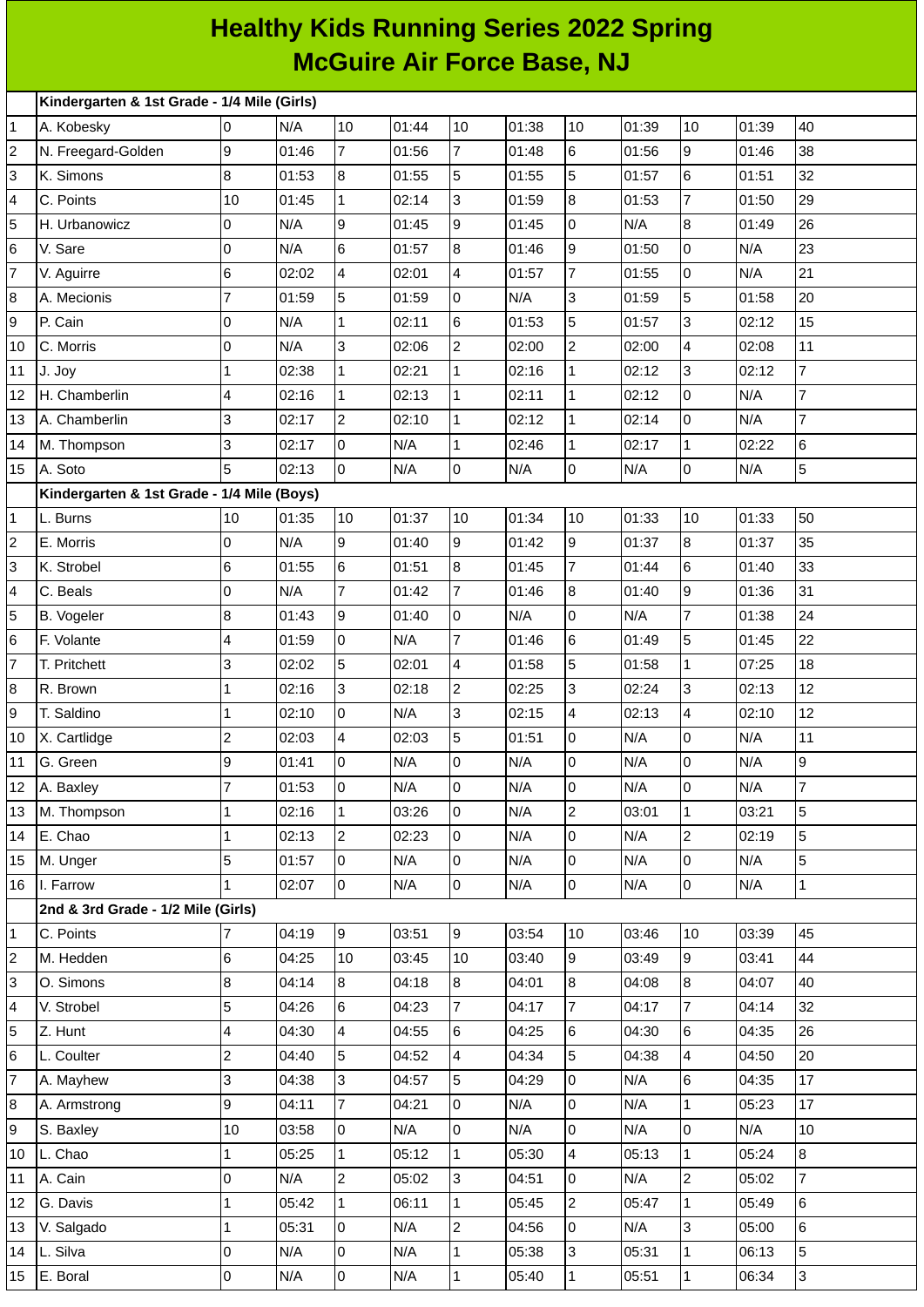## **Healthy Kids Running Series 2022 Spring McGuire Air Force Base, NJ**

|                |                                                 | Kindergarten & 1st Grade - 1/4 Mile (Girls) |       |                     |       |                 |       |                                  |       |                          |       |                |
|----------------|-------------------------------------------------|---------------------------------------------|-------|---------------------|-------|-----------------|-------|----------------------------------|-------|--------------------------|-------|----------------|
| 1              | A. Kobesky                                      | l0                                          | N/A   | 10                  | 01:44 | 10              | 01:38 | 10                               | 01:39 | 10                       | 01:39 | 40             |
| 2              | N. Freegard-Golden                              | 9                                           | 01:46 | $\overline{7}$      | 01:56 | $\overline{7}$  | 01:48 | $\,$ 6 $\,$                      | 01:56 | 9                        | 01:46 | 38             |
| 3              | K. Simons                                       | 8                                           | 01:53 | 8                   | 01:55 | 5               | 01:55 | 5                                | 01:57 | $\,6$                    | 01:51 | 32             |
| 4              | C. Points                                       | 10                                          | 01:45 | $\mathbf{1}$        | 02:14 | $\overline{3}$  | 01:59 | $\bf{8}$                         | 01:53 | $\overline{7}$           | 01:50 | 29             |
| 5              | H. Urbanowicz                                   | 0                                           | N/A   | 9                   | 01:45 | 9               | 01:45 | $\overline{0}$                   | N/A   | $\overline{8}$           | 01:49 | 26             |
| 6              | V. Sare                                         | 0                                           | N/A   | 6                   | 01:57 | $8\,$           | 01:46 | $\overline{9}$                   | 01:50 | $\overline{0}$           | N/A   | 23             |
| 7              | V. Aguirre                                      | 6                                           | 02:02 | 4                   | 02:01 | $\overline{4}$  | 01:57 | $\overline{7}$                   | 01:55 | 0                        | N/A   | 21             |
| 8              | A. Mecionis                                     | $\overline{7}$                              | 01:59 | 5                   | 01:59 | $\overline{0}$  | N/A   | $\overline{3}$                   | 01:59 | 5                        | 01:58 | 20             |
| 9              | P. Cain                                         | 0                                           | N/A   | $\mathbf 1$         | 02:11 | 6               | 01:53 | 5                                | 01:57 | 3                        | 02:12 | 15             |
| 10             | C. Morris                                       | 0                                           | N/A   | 3                   | 02:06 | $\overline{2}$  | 02:00 | $\overline{c}$                   | 02:00 | $\overline{\mathcal{A}}$ | 02:08 | 11             |
| 11             | J. Joy                                          | $\mathbf{1}$                                | 02:38 | $\mathbf 1$         | 02:21 | $\mathbf{1}$    | 02:16 | $\mathbf{1}$                     | 02:12 | 3                        | 02:12 | $\overline{7}$ |
| 12             | H. Chamberlin                                   | $\overline{\mathbf{4}}$                     | 02:16 | $\mathbf{1}$        | 02:13 | $\mathbf{1}$    | 02:11 | $\mathbf 1$                      | 02:12 | $\overline{0}$           | N/A   | $\overline{7}$ |
| 13             | A. Chamberlin                                   | 3                                           | 02:17 | $\overline{2}$      | 02:10 | $\mathbf{1}$    | 02:12 | $\mathbf{1}$                     | 02:14 | 0                        | N/A   | $\overline{7}$ |
| 14             | M. Thompson                                     | 3                                           | 02:17 | 0                   | N/A   | $\mathbf{1}$    | 02:46 | $\mathbf{1}$                     | 02:17 | $\mathbf 1$              | 02:22 | $\,6$          |
| 15             | A. Soto                                         | 5                                           | 02:13 | $\overline{0}$      | N/A   | $\overline{0}$  | N/A   | $\overline{0}$                   | N/A   | 0                        | N/A   | $\overline{5}$ |
|                | Kindergarten & 1st Grade - 1/4 Mile (Boys)      |                                             |       |                     |       |                 |       |                                  |       |                          |       |                |
| 1              | L. Burns                                        | 10                                          | 01:35 | 10                  | 01:37 | 10              | 01:34 | 10                               | 01:33 | 10                       | 01:33 | 50             |
| 2              | E. Morris                                       | 0                                           | N/A   | 9                   | 01:40 | $\overline{9}$  | 01:42 | $\overline{9}$                   | 01:37 | 8                        | 01:37 | 35             |
| 3              | K. Strobel                                      | $6\phantom{.}$                              | 01:55 | 6                   | 01:51 | 8               | 01:45 | $\overline{7}$                   | 01:44 | $\,6$                    | 01:40 | 33             |
| 4              | C. Beals                                        | 0                                           | N/A   | 7                   | 01:42 | $\overline{7}$  | 01:46 | 8                                | 01:40 | $\overline{9}$           | 01:36 | 31             |
| 5              | B. Vogeler                                      | 8                                           | 01:43 | 9                   | 01:40 | 0               | N/A   | $\overline{0}$                   | N/A   | $\overline{7}$           | 01:38 | 24             |
| 6              | F. Volante                                      | $\overline{\mathbf{4}}$                     | 01:59 | 0                   | N/A   | $\overline{7}$  | 01:46 | $\,6$                            | 01:49 | 5                        | 01:45 | 22             |
| 7              | T. Pritchett                                    | 3                                           | 02:02 | 5                   | 02:01 | $\overline{4}$  | 01:58 | 5                                | 01:58 | $\mathbf{1}$             | 07:25 | 18             |
| 8              | R. Brown                                        | $\mathbf{1}$                                | 02:16 | 3                   | 02:18 | $\overline{c}$  | 02:25 | 3                                | 02:24 | $\overline{3}$           | 02:13 | 12             |
| 9              | T. Saldino                                      | $\mathbf{1}$                                | 02:10 | $\overline{0}$      | N/A   | $\overline{3}$  | 02:15 | $\overline{\mathbf{4}}$          | 02:13 | $\overline{4}$           | 02:10 | 12             |
| 10             | X. Cartlidge                                    | $\overline{c}$                              | 02:03 | 4                   | 02:03 | 5               | 01:51 | $\overline{0}$                   | N/A   | 0                        | N/A   | 11             |
| 11             | G. Green                                        | 9                                           | 01:41 | 0                   | N/A   | $\overline{0}$  | N/A   | $\overline{0}$                   | N/A   | 0                        | N/A   | 9              |
|                | 12 A. Baxley                                    | $\overline{7}$                              | 01:53 | 10                  | N/A   | 0               | N/A   | $\overline{0}$                   | N/A   | 0                        | N/A   | $\overline{7}$ |
| 13             | M. Thompson                                     | $\mathbf{1}$                                | 02:16 | $\mathbf{1}$        | 03:26 | $\overline{0}$  | N/A   | $\overline{2}$                   | 03:01 | $\mathbf{1}$             | 03:21 | 5              |
| 14             | E. Chao                                         | $\mathbf{1}$                                | 02:13 | $\overline{c}$      | 02:23 | $\overline{0}$  | N/A   | $\overline{0}$                   | N/A   | $\overline{2}$           | 02:19 | 5              |
| 15             | M. Unger                                        | 5<br>$\overline{1}$                         | 01:57 | 0<br>$\overline{0}$ | N/A   | 0               | N/A   | $\overline{0}$<br>$\overline{0}$ | N/A   | 0                        | N/A   | 5              |
| 16             | I. Farrow<br>2nd & 3rd Grade - 1/2 Mile (Girls) |                                             | 02:07 |                     | N/A   | $\overline{0}$  | N/A   |                                  | N/A   | $\overline{0}$           | N/A   | $\mathbf{1}$   |
|                | C. Points                                       | 7                                           | 04:19 | 9                   | 03:51 | 9               | 03:54 | 10                               | 03:46 | 10                       | 03:39 | 45             |
| 1<br>2         | M. Hedden                                       | 6                                           | 04:25 | 10                  | 03:45 | 10              | 03:40 | $\overline{9}$                   | 03:49 | 9                        | 03:41 | 44             |
| 3              | O. Simons                                       | $\, 8$                                      | 04:14 | 8                   | 04:18 | 8               | 04:01 | $8\,$                            | 04:08 | 8                        | 04:07 | 40             |
| 4              | V. Strobel                                      | 5                                           | 04:26 | 6                   | 04:23 | $\overline{7}$  | 04:17 | $\overline{7}$                   | 04:17 | $\overline{7}$           | 04:14 | 32             |
| 5              | Z. Hunt                                         | $\overline{\mathbf{4}}$                     | 04:30 | 4                   | 04:55 | $6\overline{6}$ | 04:25 | $\,6$                            | 04:30 | 6                        | 04:35 | 26             |
| 6              | L. Coulter                                      | $\overline{c}$                              | 04:40 | 5                   | 04:52 | 4               | 04:34 | 5                                | 04:38 | $\overline{4}$           | 04:50 | 20             |
| $\overline{7}$ | A. Mayhew                                       | 3                                           | 04:38 | 3                   | 04:57 | 5               | 04:29 | $\overline{0}$                   | N/A   | 6                        | 04:35 | 17             |
| 8              | A. Armstrong                                    | 9                                           | 04:11 | 7                   | 04:21 | 0               | N/A   | $\overline{0}$                   | N/A   | $\mathbf{1}$             | 05:23 | 17             |
| 9              | S. Baxley                                       | $10\,$                                      | 03:58 | 0                   | N/A   | 0               | N/A   | $\overline{0}$                   | N/A   | 0                        | N/A   | 10             |
| 10             | L. Chao                                         | $\mathbf{1}$                                | 05:25 | $\mathbf{1}$        | 05:12 | $\mathbf{1}$    | 05:30 | $\overline{4}$                   | 05:13 | $\mathbf 1$              | 05:24 | $\overline{8}$ |
| 11             | A. Cain                                         | 0                                           | N/A   | $\overline{c}$      | 05:02 | $\overline{3}$  | 04:51 | $\overline{0}$                   | N/A   | $\overline{2}$           | 05:02 | $\overline{7}$ |
| 12             | G. Davis                                        | $\mathbf{1}$                                | 05:42 | $\mathbf{1}$        | 06:11 | $\mathbf{1}$    | 05:45 | $\overline{c}$                   | 05:47 | $\mathbf{1}$             | 05:49 | 6              |
| 13             | V. Salgado                                      | $\mathbf{1}$                                | 05:31 | 0                   | N/A   | $\overline{2}$  | 04:56 | $\overline{0}$                   | N/A   | $\overline{3}$           | 05:00 | 6              |
| 14             | L. Silva                                        | 0                                           | N/A   | 0                   | N/A   | $\mathbf{1}$    | 05:38 | $\overline{3}$                   | 05:31 | $\mathbf{1}$             | 06:13 | 5              |
| 15             | E. Boral                                        | l0                                          | N/A   | $\overline{0}$      | N/A   | $\mathbf{1}$    | 05:40 | $\mathbf{1}$                     | 05:51 | $\mathbf{1}$             | 06:34 | $\overline{3}$ |
|                |                                                 |                                             |       |                     |       |                 |       |                                  |       |                          |       |                |